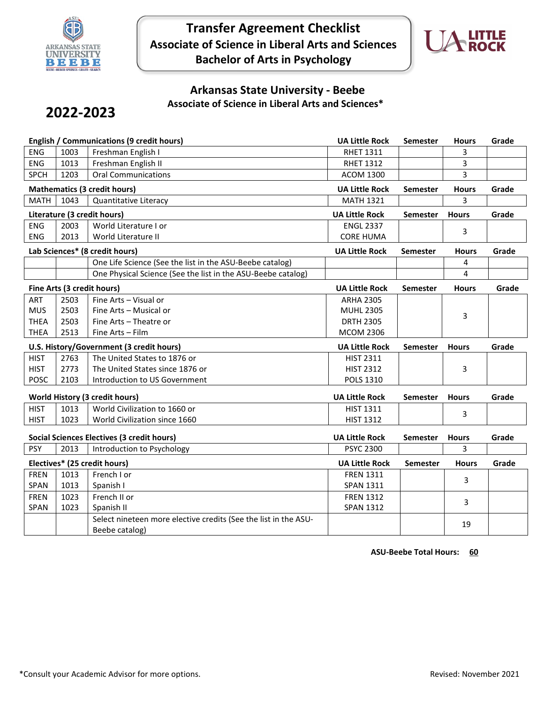

**Transfer Agreement Checklist Associate of Science in Liberal Arts and Sciences Bachelor of Arts in Psychology**



## **Arkansas State University - Beebe Associate of Science in Liberal Arts and Sciences\***

# **2022-2023**

| <b>ENG</b><br>1003<br>Freshman English I<br><b>RHET 1311</b><br>3<br><b>ENG</b><br>1013<br>Freshman English II<br><b>RHET 1312</b><br>3 |       |
|-----------------------------------------------------------------------------------------------------------------------------------------|-------|
|                                                                                                                                         |       |
|                                                                                                                                         |       |
| 3<br><b>SPCH</b><br>1203<br><b>Oral Communications</b><br><b>ACOM 1300</b>                                                              |       |
| <b>Mathematics (3 credit hours)</b><br><b>UA Little Rock</b><br><b>Semester</b><br><b>Hours</b>                                         | Grade |
| <b>MATH</b><br>1043<br>3<br>Quantitative Literacy<br><b>MATH 1321</b>                                                                   |       |
| Literature (3 credit hours)<br><b>UA Little Rock</b><br><b>Hours</b><br><b>Semester</b>                                                 | Grade |
| <b>ENG</b><br>2003<br>World Literature I or<br><b>ENGL 2337</b><br>3                                                                    |       |
| ENG<br>2013<br>World Literature II<br><b>CORE HUMA</b>                                                                                  |       |
| Lab Sciences* (8 credit hours)<br><b>UA Little Rock</b><br><b>Semester</b><br><b>Hours</b>                                              | Grade |
| One Life Science (See the list in the ASU-Beebe catalog)<br>4                                                                           |       |
| One Physical Science (See the list in the ASU-Beebe catalog)<br>4                                                                       |       |
| Fine Arts (3 credit hours)<br><b>UA Little Rock</b><br><b>Hours</b><br><b>Semester</b>                                                  | Grade |
| 2503<br>Fine Arts - Visual or<br>ART<br><b>ARHA 2305</b>                                                                                |       |
| <b>MUS</b><br>2503<br>Fine Arts - Musical or<br><b>MUHL 2305</b><br>3                                                                   |       |
| <b>THEA</b><br>2503<br>Fine Arts - Theatre or<br><b>DRTH 2305</b>                                                                       |       |
| 2513<br><b>THEA</b><br>Fine Arts - Film<br><b>MCOM 2306</b>                                                                             |       |
| U.S. History/Government (3 credit hours)<br><b>UA Little Rock</b><br><b>Semester</b><br><b>Hours</b>                                    | Grade |
| <b>HIST</b><br>2763<br>The United States to 1876 or<br><b>HIST 2311</b>                                                                 |       |
| <b>HIST</b><br>2773<br>The United States since 1876 or<br><b>HIST 2312</b><br>3                                                         |       |
| <b>POSC</b><br>2103<br>Introduction to US Government<br>POLS 1310                                                                       |       |
| <b>World History (3 credit hours)</b><br><b>UA Little Rock</b><br><b>Hours</b><br><b>Semester</b>                                       | Grade |
| <b>HIST</b><br>World Civilization to 1660 or<br>1013<br><b>HIST 1311</b>                                                                |       |
| 3<br><b>HIST</b><br>1023<br><b>HIST 1312</b><br>World Civilization since 1660                                                           |       |
| <b>Social Sciences Electives (3 credit hours)</b><br><b>UA Little Rock</b><br><b>Hours</b><br><b>Semester</b>                           | Grade |
| <b>PSY</b><br>2013<br><b>PSYC 2300</b><br>Introduction to Psychology<br>3                                                               |       |
| Electives* (25 credit hours)<br><b>UA Little Rock</b><br><b>Semester</b><br><b>Hours</b>                                                | Grade |
| <b>FREN</b><br>1013<br>French I or<br><b>FREN 1311</b>                                                                                  |       |
| 3<br>SPAN<br>1013<br><b>SPAN 1311</b><br>Spanish I                                                                                      |       |
| French II or<br><b>FREN</b><br>1023<br><b>FREN 1312</b>                                                                                 |       |
| 3<br>SPAN<br>1023<br>Spanish II<br><b>SPAN 1312</b>                                                                                     |       |
| Select nineteen more elective credits (See the list in the ASU-                                                                         |       |
| 19<br>Beebe catalog)                                                                                                                    |       |

**ASU-Beebe Total Hours: 60**